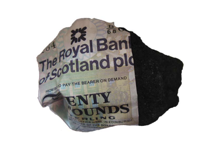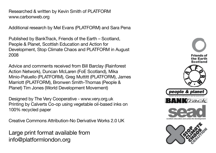Researched & written by Kevin Smith of PLATFORM www.carbonweb.org

Additional research by Mel Evans (PLATFORM) and Sara Pena

Published by BankTrack, Friends of the Earth – Scotland, People & Planet, Scottish Education and Action for Development, Stop Climate Chaos and PLATFORM in August 2008

Advice and comments received from Bill Barclay (Rainforest Action Network), Duncan McLaren (FoE Scotland), Mika Minio-Paluello (PLATFORM), Greg Muttitt (PLATFORM), James Marriott (PLATFORM), Bronwen Smith-Thomas (People & Planet) Tim Jones (World Development Movement)

Designed by The Very Cooperative - www.very.org.uk Printing by Calverts Co-op using vegetable oil-based inks on 100% recycled paper

Creative Commons Attribution-No Derivative Works 2.0 UK

Large print format available from info@platformlondon.org

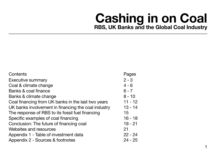## **Cashing in on Coal RBS, UK Banks and the Global Coal Industry**

| Contents                                            | Pages     |
|-----------------------------------------------------|-----------|
| Executive summary                                   | $2 - 3$   |
| Coal & climate change                               | $4 - 6$   |
| Banks & coal finance                                | $6 - 7$   |
| Banks & climate change                              | $8 - 10$  |
| Coal financing from UK banks in the last two years  | $11 - 12$ |
| UK banks involvement in financing the coal industry | $13 - 14$ |
| The response of RBS to its fossil fuel financing    | 15        |
| Specific examples of coal financing                 | $16 - 18$ |
| Conclusion: The future of financing coal            | $19 - 21$ |
| Websites and resources                              | 21        |
| Appendix 1 - Table of investment data               | $22 - 24$ |
| Appendix 2 - Sources & footnotes                    | $24 - 25$ |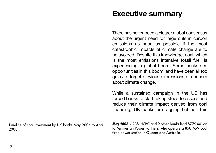#### **Executive summary**

There has never been a clearer global consensus about the urgent need for large cuts in carbon emissions as soon as possible if the most catastrophic impacts of climate change are to be avoided. Despite this knowledge, coal, which is the most emissions intensive fossil fuel, is experiencing a global boom. Some banks see opportunities in this boom, and have been all too quick to forget previous expressions of concern about climate change.

While a sustained campaign in the US has forced banks to start taking steps to assess and reduce their climate impact derived from coal financing, UK banks are lagging behind. This

Timeline of coal investment by UK banks May 2006 to April 2008

**May 2006** – RBS, HSBC and 9 other banks lend \$779 million to Millmerran Power Partners, who operate a 850 MW coal fired power station in Queensland Australia.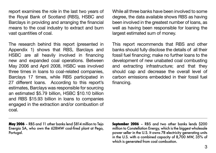report examines the role in the last two years of the Royal Bank of Scotland (RBS), HSBC and Barclays in providing and arranging the financial means to the coal industry to extract and burn vast quantities of coal.

The research behind this report (presented in Appendix 1) shows that RBS, Barclays and HSBC are all heavily involved in financing new and expanded coal operations. Between May 2006 and April 2008, HSBC was involved three times in loans to coal-related companies, Barclays 17 times, while RBS participated in 27 different loans. According to this report's estimates, Barclays was responsible for sourcing an estimated \$5.79 billion, HSBC \$10.10 billion and RBS \$15.93 billion in loans to companies engaged in the extraction and/or combustion of coal.

While all three banks have been involved to some degree, the data available shows RBS as having been involved in the greatest number of loans, as well as having been responsible for loaning the largest estimated sum of money.

This report recommends that RBS and other banks should fully disclose the details of all their fossil fuel financing; make no further loans to the development of new unabated coal combusting and extracting infrastructure; and that they should cap and decrease the overall level of carbon emissions embedded in their fossil fuel financing.

**May 2006** – RBS and 11 other banks lend \$814 million to Tejo Energia SA, who own the 628MW coal-fired plant at Pego, Portugal.

**September 2006** – RBS and two other banks lends \$200 million to Constellation Energy, which is the biggest wholesale power seller in the U.S. It owns 78 electricity generating units in the U.S. with a combined capacity of 8,700 MW, 35% of which is generated from coal combustion.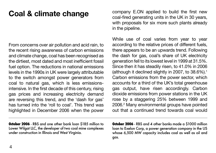### **Coal & climate change**

From concerns over air pollution and acid rain, to the recent rising awareness of carbon emissions and climate change, coal has been recognised as the dirtiest, most dated and most inefficient fossil fuel option. The reductions in national emissions levels in the 1990s in UK were largely attributable to the switch amongst power generators from coal to natural gas, which is less emissionsintensive. In the first decade of this century, rising gas prices and increasing electricity demand are reversing this trend, and the 'dash for gas' has turned into the 'roll to coal'. This trend was highlighted in December 2006 when the power

**October 2006** - RBS and one other bank loan \$185 million to Lower Wilgat LLC, the developer of two coal mine complexes under construction in Illinois and West Virginia.

company E.ON applied to build the first new coal-fired generating units in the UK in 30 years, with proposals for six more such plants already in the pipeline.

While use of coal varies from year to year according to the relative prices of different fuels, there appears to be an upwards trend. Following the dash for gas, coal's share of UK electricity generation fell to its lowest level in 1999 at 31.5%. Since then it has steadily risen, to 41.0% in 2006 (although it declined slightly in 2007, to 38.6%).<sup>1</sup> Carbon emissions from the power sector, which accounts for a third of the UK's total greenhouse gas output, have risen accordingly. Carbon dioxide emissions from power stations in the UK rose by a staggering 25% between 1999 and 2006.<sup>2</sup> Many environmental groups have pointed out that a continued trend towards coal would

**October 2006** - RBS and 4 other banks made a \$1000 million loan to Exelon Corp, a power generation company in the US whose 6,500 MW capacity includes coal as well as oil and gas.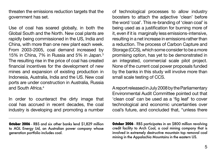threaten the emissions reduction targets that the government has set.

Use of coal has soared globally, in both the Global South and the North. New coal plants are rapidly being commissioned in the US, India and China, with more than one new plant each week. From 2003-2005, coal demand increased by 15% in China, 7% in Russia and 5% in Japan.3 The resulting rise in the price of coal has created financial incentives for the development of new mines and expansion of existing production in Indonesia, Australia, India and the US. New coal ports are under construction in Australia, Russia and South Africa.4

In order to counteract the dirty image that coal has accrued in recent decades, the coal industry is developing and promoting a number

**October 2006** - RBS and six other banks lend \$1,829 million to AGL Energy Ltd, an Australian power company whose generation portfolio includes coal.

of technological processes to allow industry boosters to attach the adjective 'clean' before the word 'coal'. This re-branding of 'clean coal' is being used as a justification for burning more of it, even if it is marginally less emissions-intensive, resulting in a net increase in emissions rather than a reduction. The process of Carbon Capture and Storage (CCS), which some consider to be a more promising option, has yet to be demonstrated in an integrated, commercial scale pilot project. None of the current coal power proposals funded by the banks in this study will involve more than small scale testing of CCS.

A report released in July 2008 by the Parliamentary Environmental Audit Committee pointed out that 'clean coal' can be used as a 'fig leaf' to cover technological and economic uncertainties over coal's future, and concluded that, "unless there

**October 2006** - RBS participates in an \$800 million revolving credit facility to Arch Coal, a coal mining company that is involved in extremely destructive mountain top removal coal mining in the Appalachia Mountains in the eastern US.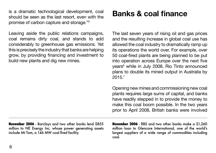is a dramatic technological development, coal **Banks & coal finance** should be seen as the last resort, even with the promise of carbon capture and storage."5

Leaving aside the public relations campaigns, coal remains dirty coal, and stands to add considerably to greenhouse gas emissions. Yet this is precisely the industry that banks are helping grow, by providing financing and investment to build new plants and dig new mines.

The last seven years of rising oil and gas prices and the resulting increase in global coal use has allowed the coal industry to dramatically ramp up its operations the world over. For example, over 50 coal-fired plants are being planned to be put into operation across Europe over the next five years<sup>6</sup> while in July 2008, Rio Tinto announced plans to double its mined output in Australia by 2015.7

Opening new mines and commissioning new coal plants requires large sums of capital, and banks have readily stepped in to provide the money to make this coal boom possible. In the two years prior to April 2008, British banks were involved

**November 2006** - Barclays and two other banks lend \$855 million to NE Energy Inc, whose power generating assets include Mt Tom, a 146 MW coal fired facility.

**November 2006** - RBS and two other banks make a \$1,260 million loan to Glencore International, one of the world's largest suppliers of a wide range of commodities including coal.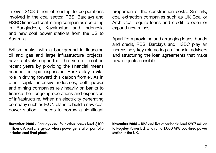in over \$108 billion of lending to corporations involved in the coal sector. RBS, Barclays and HSBC financed coal mining companies operating in Bangladesh, Kazakhstan and Indonesia and new coal power stations from the US to Australia.

British banks, with a background in financing oil and gas and large infrastructure projects, have actively supported the rise of coal in recent years by providing the financial means needed for rapid expansion. Banks play a vital role in driving forward this carbon frontier. As in other capital intensive industries, both power and mining companies rely heavily on banks to finance their ongoing operations and expansion of infrastructure. When an electricity generating company such as E.ON plans to build a new coal power station, it needs to borrow a significant

proportion of the construction costs. Similarly, coal extraction companies such as UK Coal or Arch Coal require loans and credit to open or expand new mines.

Apart from providing and arranging loans, bonds and credit, RBS, Barclays and HSBC play an increasingly key role acting as financial advisers and structuring the loan agreements that make new projects possible.

**November 2006** - Barclays and four other banks lend \$100 million to Alliant Energy Co, whose power generation portfolio includes coal-fired plants.

**November 2006** – RBS and five other banks lend \$907 million to Rugeley Power Ltd, who run a 1,000 MW coal-fired power station in the UK.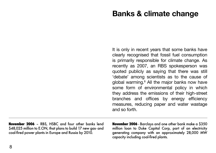#### **Banks & climate change**

It is only in recent years that some banks have clearly recognised that fossil fuel consumption is primarily responsible for climate change. As recently as 2007, an RBS spokesperson was quoted publicly as saying that there was still 'debate' among scientists as to the cause of global warming.<sup>8</sup> All the major banks now have some form of environmental policy in which they address the emissions of their high-street branches and offices by energy efficiency measures, reducing paper and water wastage and so forth.

**November 2006** – RBS, HSBC and four other banks lend \$48,025 million to E.ON, that plans to build 17 new gas- and coal-fired power plants in Europe and Russia by 2010.

**November 2006** - Barclays and one other bank make a \$350 million loan to Duke Capital Corp, part of an electricity generating company with an approximately 28,000 MW capacity including coal-fired plants.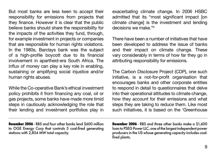But most banks are less keen to accept their responsibility for emissions from projects that they finance. However it is clear that the public believe banks should share the responsibility for the impacts of the activities they fund, through, for example investment in projects or companies that are responsible for human rights violations. In the 1980s, Barclays bank was the subject of a high-profile boycott due to its financial involvement in apartheid-era South Africa. The influx of money can play a key role in enabling, sustaining or amplifying social injustice and/or human rights abuses.

While the Co-operative Bank's ethical investment policy prohibits it from financing any coal, oil or gas projects, some banks have made more timid steps in cautiously acknowledging the role that their lending and investment portfolios play in

**December 2006** - RBS and four other banks lend \$600 million to OGE Energy Corp that controls 5 coal-fired generating stations with 2,854 MW total capacity.

exacerbating climate change. In 2006 HSBC admitted that its "most significant impact [on climate change] is the investment and lending decisions we make."9

There have been a number of initiatives that have been developed to address the issue of banks and their impact on climate change. These vary considerably in terms of how far they go in attributing responsibility for emissions.

The Carbon Disclosure Project (CDP), one such initiative, is a not-for-profit organisation that encourages banks and other corporate entities to respond in detail to questionnaires that delve into their operational attitudes to climate change, how they account for their emissions and what steps they are taking to reduce them. Like most such initiatives, it is based on the 'Greenhouse

**December 2006** - RBS and three other banks make a \$1,600 loan to PSEG Power LLC, one of the largest independent power producers in the US whose generating capacity includes coalfired plants.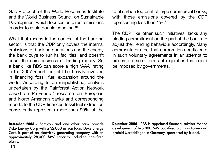Gas Protocol' of the World Resources Institute and the World Business Council on Sustainable Development which focuses on direct emissions in order to avoid double counting.10

What that means in the context of the banking sector, is that the CDP only covers the internal emissions of banking operations and the energy the bank buys to run its facilities, and doesn't count the core business of lending money. So a bank like RBS can score a high 'AAA' rating in the 2007 report, but still be heavily involved in financing fossil fuel expansion around the world. According to an (unpublished) analysis undertaken by the Rainforest Action Network based on ProFundo<sup>11</sup> research on European and North American banks and corresponding reports to the CDP, financed fossil fuel extraction consistently represents more than 99% of the

total carbon footprint of large commercial banks, with those emissions covered by the CDP representing less than 1%.12

The CDP, like other such initiatives, lacks any binding commitment on the part of the banks to adjust their lending behaviour accordingly. Many commentators feel that corporations participate in such voluntary agreements in an attempt to pre-empt stricter forms of regulation that could be imposed by governments.

**December 2006** - Barclays and one other bank provide Duke Energy Corp with a \$2,000 million loan. Duke Energy Corp is part of an electricity generating company with an approximately 28,000 MW capacity including coal-fired plants.

**December 2006** - RBS is appointed financial adviser for the development of two 800 MW coal-fired plants in Lünen and Krefeld-Uerdddingen in Germany, sponsored by Trianel.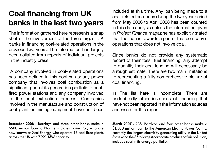### **Coal financing from UK banks in the last two years**

The information gathered here represents a snap shot of the involvement of the three largest UK banks in financing coal-related operations in the previous two years. The information has largely been collated from reports of individual projects in the industry press.

 A company involved in coal-related operations has been defined in this context as: any power company that involves coal combustion as a significant part of its generation portfolio, $13 \text{ coal-}$ fired power stations and any company involved in the coal extraction process. Companies involved in the manufacture and construction of coal plant or mining equipment have not been

**December 2006** - Barclays and three other banks make a \$500 million loan to Northern States Power Co, who are now known as Xcel Energy, who operate 16 coal-fired plants across the US with 7,921 MW capacity.

included at this time. Any loan being made to a coal-related company during the two year period from May 2006 to April 2008 has been counted in this data analysis unless the information given in *Project Finance* magazine has explicitly stated that the loan is towards a part of that company's operations that does not involve coal.

Since banks do not provide any systematic record of their fossil fuel financing, any attempt to quantify their coal lending will necessarily be a rough estimate. There are two main limitations to representing a fully comprehensive picture of coal financing.

1) The list here is incomplete. There are undoubtedly other instances of financing that have not been reported in the information sources accessed for this report.

**March 2007** - RBS, Barclays and four other banks make a \$1,500 million loan to the American Electric Power Co Inc, currently the largest electricity generating utility in the United States and the 35th-largest corporate producer of air pollution, includes coal in its energy portfolio.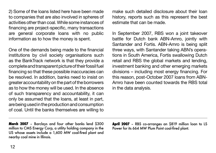2) Some of the loans listed here have been made to companies that are also involved in spheres of activities other than coal. While some instances of financing are project-specific, many transactions are general corporate loans with no public information as to how the money is spent.

One of the demands being made to the financial institutions by civil society organisations such as the BankTrack network is that they provide a complete and transparent picture of their fossil fuel financing so that these possible inaccuracies can be resolved. In addition, banks need to insist on greater accountability on the part of the borrowers as to how the money will be used. In the absence of such transparency and accountability, it can only be assumed that the loans, at least in part, are being used in the production and consumption of coal. Until the banks themselves are willing to

make such detailed disclosure about their loan history, reports such as this represent the best estimate that can be made.

In September 2007, RBS won a joint takeover battle for Dutch bank ABN-Amro, jointly with Santander and Fortis. ABN-Amro is being split three ways, with Santander taking ABN's operations in South America, Fortis swallowing Dutch retail and RBS the global markets and lending, investment banking and other emerging markets divisions – including most energy financing. For this reason, post-October 2007 loans from ABN-Amro have been counted towards the RBS total in the data analysis.

**March 2007** – Barclays and four other banks lend \$300 million to CMS Energy Corp, a utility holding company in the US whose assets include a 1,600 MW coal-fired plant and nearby coal mine in Illinois.

**April 2007** – RBS co-arranges an \$819 million loan to LS Power for its 664 MW Plum Point coal-fired plant.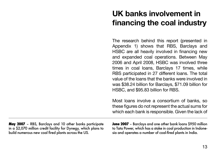### **UK banks involvement in financing the coal industry**

The research behind this report (presented in Appendix 1) shows that RBS, Barclays and HSBC are all heavily involved in financing new and expanded coal operations. Between May 2006 and April 2008, HSBC was involved three times in coal loans, Barclays 17 times, while RBS participated in 27 different loans. The total value of the loans that the banks were involved in was \$38.24 billion for Barclays, \$71.09 billion for HSBC, and \$95.83 billion for RBS.

Most loans involve a consortium of banks, so these figures do not represent the actual sums for which each bank is responsible. Given the lack of

**May 2007** – RBS, Barclays and 10 other banks participate in a \$2,070 million credit facility for Dynegy, which plans to build numerous new coal fired plants across the US.

**June 2007** – Barclays and one other bank loans \$950 million to Tata Power, which has a stake in coal production in Indonesia and operates a number of coal-fired plants in India.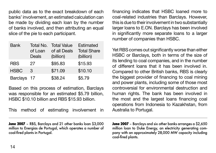public data as to the exact breakdown of each banks' involvement, an estimated calculation can be made by dividing each loan by the number of banks involved, and then attributing an equal slice of the pie to each participant.

| <b>Bank</b>     | Total No.<br>of Loan<br><b>Deals</b> | <b>Total Value</b><br>of all Deals<br>(billion) | Estimated<br><b>Total Share</b><br>(billion) |
|-----------------|--------------------------------------|-------------------------------------------------|----------------------------------------------|
| <b>RBS</b>      | 27                                   | \$95.83                                         | \$15.93                                      |
| <b>HSBC</b>     | 3                                    | \$71.09                                         | \$10.10                                      |
| <b>Barclays</b> | - 17                                 | \$38.24                                         | \$5.79                                       |

Based on this process of estimation, Barclays was responsible for an estimated \$5.79 billion, HSBC \$10.10 billion and RBS \$15.93 billion.

This method of estimating involvement in

**June 2007** – RBS, Barclays and 21 other banks loan \$3,000 million to Energias de Portugal, which operates a number of coal-fired plants in Portugal.

financing indicates that HSBC loaned more to coal-related industries than Barclays. However, this is due to their involvement in two substantially larger loans to E.ON. Barclays has been involved in significantly more separate loans to a larger number of companies than HSBC.

Yet RBS comes out significantly worse than either HSBC or Barclays, both in terms of the size of its lending to coal companies, and in the number of different loans that it has been involved in. Compared to other British banks, RBS is clearly the biggest provider of financing to coal mining and power plants, including some of those most controversial for environmental destruction and human rights. The bank has been involved in the most and the largest loans financing coal operations from Indonesia to Kazakhstan, from Australia to Portugal.

**June 2007** – Barclays and six other banks arranges a \$2,650 million loan to Duke Energy, an electricity generating company with an approximately 28,000 MW capacity including coal-fired plants.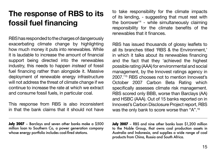#### **The response of RBS to its fossil fuel financing**

RBS has responded to the charges of dangerously exacerbating climate change by highlighting how much money it puts into renewables. While it is laudable to increase the amount of financial support being directed into the renewables industry, this needs to happen *instead* of fossil fuel financing rather than alongside it. Massive deployment of renewable energy infrastructure will not address the threat of climate change if we continue to increase the rate at which we extract and consume fossil fuels, in particular coal.

This response from RBS is also inconsistent in that the bank claims that it should not have

**July 2007** – Barclays and seven other banks make a \$500 million loan to Southern Co, a power generation company whose energy portfolio includes coal-fired stations.

to take responsibility for the climate impacts of its lending, - suggesting that must rest with the borrower<sup>14</sup> - while simultaneously claiming responsibility for the climate benefits of the renewables that it finances.

RBS has issued thousands of glossy leaflets to all its branches titled 'RBS & the Environment,' in which it talks about its renewables financing and the fact that they 'achieved the highest possible rating (AAA) for environmental and social management, by the Innovest ratings agency in 2007.'15 RBS chooses not to mention Innovest's October 2007 Carbon Beta Rating which specifically assesses climate risk management. RBS scored only BBB, worse than Barclays (AA) and HSBC (AAA). Out of 15 banks reported on in Innovest's Carbon Disclosure Project report, RBS was the only bank to score worse than "A".16

**July 2007** – RBS and nine other banks loan \$1,200 million to the Noble Group, that owns coal production assets in Australia and Indonesia, and supplies a wide range of coal products from China, Russia and South Africa.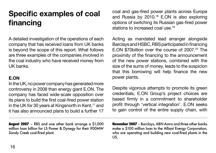### **Specific examples of coal financing**

A detailed investigation of the operations of each company that has received loans from UK banks is beyond the scope of this report. What follows are three examples of the companies involved in the coal industry who have received money from UK banks.

#### **E.ON**

In the UK, no power company has generated more controversy in 2008 than energy giant E.ON. The company has faced wide-scale opposition over its plans to build the first coal-fired power station in the UK for 30 years at Kingsnorth in Kent, $17$  and it has also announced plans to build a further 17

**August 2007** – RBS and one other bank arrange a \$1,000 million loan billion for LS Power & Dynegy for their 900MW Sandy Creek coal-fired plant.

coal and gas-fired power plants across Europe and Russia by 2010.<sup>18</sup> E.ON is also exploring options of switching its Russian gas-fired power stations to increased coal use.<sup>19</sup>

Acting as mandated lead arranger alongside Barclays and HSBC, RBS participated in financing E.ON \$70billion over the course of 2007.20 The proximity of the financing to the announcement of the new power stations, combined with the size of the sums of money, leads to the suspicion that this borrowing will help finance the new power plants.

Despite vigorous attempts to promote its green credentials, E.ON Group's project choices are based firmly in a commitment to shareholder profit through 'vertical integration'. E.ON seeks to gain control of the entire supply chain, with

**November 2007** – Barclays, ABN Amro and three other banks make a \$100 million loan to the Alliant Energy Corporation, who are operating and building new coal-fired plants in the US.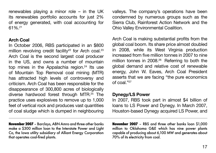renewables playing a minor role – in the UK its renewables portfolio accounts for just 2% of energy generated, with coal accounting for 61%.21

#### **Arch Coal**

In October 2006, RBS participated in an \$800 million revolving credit facility<sup>22</sup> for Arch coal.<sup>23</sup> Arch Coal is the second largest coal producer in the US, and owns a number of mountain top mines in the Appalachia region. $24$  Its use of Mountain Top Removal coal mining (MTR) has attracted high levels of controversy and criticism. Arch Coal has been responsible for the disappearance of 300,800 acres of biologically diverse hardwood forest through MTR.25 The practice uses explosives to remove up to 1,000 feet of vertical rock and produces vast quantities of coal sludge which is dumped in neighbouring

**November 2007** – Barclays, ABN Amro and three other banks make a \$300 million loan to the Interstate Power and Light Co, the Iowa utility subsidiary of Alliant Energy Corporation that operates coal-fired plants.

valleys. The company's operations have been condemned by numerous groups such as the Sierra Club, Rainforest Action Network and the Ohio Valley Environmental Coalition.

Arch Coal is making substantial profits from the global coal boom. Its share price almost doubled in 2008, while its West Virginia production increased from five million tonnes in 2007 to nine million tonnes in 2008.<sup>26</sup> Referring to both the global demand and relative cost of renewable energy, John W. Eaves, Arch Coal President asserts that we are facing "the pure economics of coal."27

#### **Dynegy/LS Power**

In 2007, RBS took part in almost \$4 billion of loans to LS Power and Dynegy. In March 2007, Houston-based Dynegy acquired LS Power, and

**November 2007** – RBS and three other banks loan \$1,000 million to Oklahoma G&E which has nine power plants capable of producing about 6,100 MW and generates about 70% of its electricity from coal.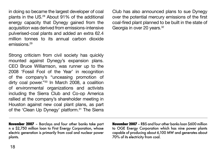in doing so became the largest developer of coal plants in the US.28 About 91% of the additional energy capacity that Dynegy gained from the acquisition was derived from emissions-intensive pulverised-coal plants and added an extra 62.4 million tonnes to its annual carbon dioxide emissions.29

Strong criticism from civil society has quickly mounted against Dynegy's expansion plans. CEO Bruce Williamson, was runner up to the 2008 'Fossil Fool of the Year' in recognition of the company's "unceasing promotion of dirty coal power."30 In March 2008, a coalition of environmental organizations and activists including the Sierra Club and Co-op America rallied at the company's shareholder meeting in Houston against new coal plant plans, as part of the 'Clean Up Dynegy' platform.<sup>31</sup> The Sierra

Club has also announced plans to sue Dynegy over the potential mercury emissions of the first coal-fired plant planned to be built in the state of Georgia in over 20 years.<sup>32</sup>

**November 2007** – Barclays and four other banks take part n a \$2,750 million loan to First Energy Corporation, whose electric generation is primarily from coal and nuclear power plants.

**November 2007** – RBS and four other banks loan \$600 million to OGE Energy Corporation which has nine power plants capable of producing about 6,100 MW and generates about 70% of its electricity from coal.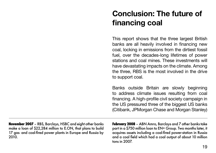### **Conclusion: The future of financing coal**

This report shows that the three largest British banks are all heavily involved in financing new coal, locking in emissions from the dirtiest fossil fuel, over the decades-long lifetimes of power stations and coal mines. These investments will have devastating impacts on the climate. Among the three, RBS is the most involved in the drive to support coal.

Banks outside Britain are slowly beginning to address climate issues resulting from coal financing. A high-profile civil society campaign in the US pressured three of the biggest US banks (Citibank, JPMorgan Chase and Morgan Stanley)

**November 2007** – RBS, Barclays, HSBC and eight other banks make a loan of \$22,284 million to E.ON, that plans to build 17 gas- and coal-fired power plants in Europe and Russia by 2010.

**February 2008** – ABN Amro, Barclays and 7 other banks take part in a \$750 million loan to EN+ Group. Two months later, it acquires assets including a coal-fired power-station in Russia and a coal field which had a coal output of about 10 million tons in 2007.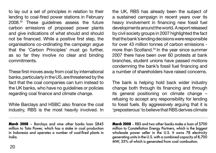to lay out a set of principles in relation to their lending to coal-fired power stations in February 2008.33 These guidelines assess the future carbon emissions of proposed power plants and give indications of what should and should not be financed. While a positive first step, the organisations co-ordinating the campaign argue that the 'Carbon Principles' must go further, as so far they involve no clear and binding commitments.

These first moves away from coal by international banks, particularly in the US, are threatened by the fact that the coal companies can turn instead to the UK banks, who have no guidelines or policies regarding coal finance and climate change.

While Barclays and HSBC also finance the coal industry, RBS is the most heavily involved. In

**March 2008** – Barclays and nine other banks loan \$845 million to Tata Power, which has a stake in coal production in Indonesia and operates a number of coal-fired plants in India.

the UK, RBS has already been the subject of a sustained campaign in recent years over its heavy involvement in financing new fossil fuel developments around the world. A report released by civil society groups in 2007 highlighted the fact that the bank's lending decisions were responsible for over 43 million tonnes of carbon emissions more than Scotland.<sup>34</sup> In the year since summer 2007 there have been over 60 protests at bank branches, student unions have passed motions condemning the bank's fossil fuel financing and a number of shareholders have raised concerns.

The bank is helping hold back wider industry change both through its financing and through its general positioning on climate change – refusing to accept any responsibility for lending to fossil fuels. By aggressively arguing that it is 'preposterous' to believe that RBS derives climate

**March 2008** – RBS and two other banks make a loan of \$700 million to Constellation Energy Partners, which is the biggest wholesale power seller in the U.S. It owns 78 electricity generating units in the U.S. with a combined capacity of 8,700 MW, 35% of which is generated from coal combustion.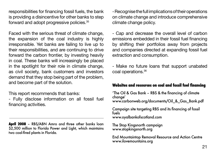responsibilities for financing fossil fuels, the bank is providing a disincentive for other banks to step forward and adopt progressive policies.35

Faced with the serious threat of climate change, the expansion of the coal industry is highly irresponsible. Yet banks are failing to live up to their responsibilities, and are continuing to drive forward the carbon frontier, by investing heavily in coal. These banks will increasingly be placed in the spotlight for their role in climate change, as civil society, bank customers and investors demand that they stop being part of the problem, and become part of the solution.

This report recommends that banks:

- Fully disclose information on all fossil fuel financing activities.

**April 2008** – RBS/ABN Amro and three other banks loan \$2,500 million to Florida Power and Light, which maintains two coal-fired plants in Florida.

- Recognise the full implications of their operations on climate change and introduce comprehensive climate change policy.

- Cap and decrease the overall level of carbon emissions embedded in their fossil fuel financing by shifting their portfolios away from projects and companies directed at expanding fossil fuel extraction and consumption.

- Make no future loans that support unabated coal operations.36

#### **Websites and resources on coal and fossil fuel financing**

'The Oil & Gas Bank – RBS & the financing of climate change' www.carbonweb.org/documents/Oil\_&\_Gas\_Bank.pdf

Campaign site targeting RBS and its financing of fossil fuels www.oyalbankofscotland.com

The Stop Kingsnorth campaign www.stopkingsnorth.org

End Mountaintop Removal Resource and Action Centre www.ilovemountains.org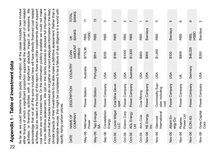Appendix 1 - Table of investment data **Appendix 1 - Table of investment data** 22

As far as we could determine from public information, all the cases included here involve activities, or financing activities with a significant absolute impact on emissions. We activities, but as noted in the body of this report, there are other investments which support a more definitive assessment. We call on the banks involved to disclose full information. It either finance of which a significant proportion supported the development of coal-related acknowledge that not all of the sums included here will have directly financed coal-related coal which are not included here. On the information publicly available we could not make may prove that the banks involved do not gather or record adequate information on the likely climate impacts of their investments to be able make a definitive assessment. Rather than a reasonable excuse, this might be considered to be a failure of due diligence in a world with As far as we could determine from public information, all the cases included here involve either finance of which a significant proportion supported the development of coal-related activities, or financing activities with a significant absolute impact on emissions. We acknowledge that not all of the sums included here will have directly financed coal-related activities, but as noted in the body of this report, there are other investments which support coal which are not included here. On the information publicly available we could not make a more definitive assessment. We call on the banks involved to disclose full information. It may prove that the banks involved do not gather or record adequate information on the likely climate impacts of their investments to be able make a definitive assessment. Rather than a reasonable excuse, this might be considered to be a failure of due diligence in a world with rapidly rising carbon prices. rapidly rising carbon prices.

| DATE          | COMPANY<br>NAME OF        | <b>DESCRIPTION</b>                         | <b>COUNTRY</b> | <b>TNUONNT</b><br>(million)<br><b>LOAN</b> | <b>BANKS</b><br>$\breve{\preceq}$ | <b>BANKS</b><br><b>TOTAL</b> |
|---------------|---------------------------|--------------------------------------------|----------------|--------------------------------------------|-----------------------------------|------------------------------|
| $May-06$      | Millmerran<br>Power       | Power Station                              | Australia      | \$779.38                                   | <b>HSBC</b><br>RBS,               | ≓                            |
| $May-06$      | Tejo Energía<br>SÃ        | Power Station                              | Portugal       | \$814                                      | <b>RBS</b>                        | ဣ                            |
| $Step-06$     | Constellation<br>Energy   | Power Company                              | €Š             | \$200                                      | <b>RBS</b>                        | ო                            |
| <b>Oct-06</b> | Lower Wilgat<br>3T        | Coal Mine Devel-<br>oper                   | SSQ            | \$185                                      | <b>RBS</b>                        | $\mathbf{C}$                 |
| $Oct-06$      | Exelon Corp               | Power Company                              | USA            | \$1000                                     | <b>RBS</b>                        | 5                            |
| <b>Oct-06</b> | AGL Energy<br><u>pt</u>   | Power Company                              | Australia      | \$1,830                                    | <b>RBS</b>                        | $\overline{ }$               |
| $Oct-06$      | Arch Coal                 | Coal Mining                                | SSU            | \$800                                      | <b>RBS</b>                        | ᠇                            |
| Nov-06        | NE Energy<br>$\tilde{c}$  | Power Company                              | SSU            | \$855                                      | <b>Barclays</b>                   | ო                            |
| Nov-06        | International<br>Glencore | Commodity Sup-<br>plier, including<br>coal | USA            | \$1,260                                    | <b>RBS</b>                        | ო                            |
| Nov-06        | Alliant En-<br>ergy Co    | Power Company                              | SSU            | \$100                                      | <b>Barclays</b>                   | 5                            |
| Nov-06        | Power Ltd<br>Rugeley      | Power Company                              | š              | \$06\$                                     | <b>RBS</b>                        | ဖ                            |
| Nov-06        | E.ON AG                   | Power Company                              | Germany        | \$48,026                                   | <b>HSBC</b><br>RBS,               | $\circ$                      |
| Nov-06        | Duke Capital<br>Corp      | Power Company                              | USA            | \$350                                      | <b>Barclays</b>                   | $\mathbf{\Omega}$            |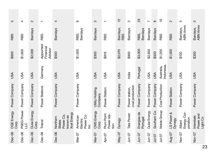| 5                  | 4                        | $\sim$              | $\mathbf -$                       | 4                                                                 | G                                            | 5                          | $\mathbf$                        | 57                      | $\sim$                            | $\mathbb{S}^2$          | $\sim$          | $\infty$        | $\overline{C}$           | $\sim$               | 5                                  | 5                                   |
|--------------------|--------------------------|---------------------|-----------------------------------|-------------------------------------------------------------------|----------------------------------------------|----------------------------|----------------------------------|-------------------------|-----------------------------------|-------------------------|-----------------|-----------------|--------------------------|----------------------|------------------------------------|-------------------------------------|
| <b>RBS</b>         | <b>RBS</b>               | <b>Barclays</b>     | <b>RBS</b>                        | <b>Barclays</b>                                                   | <b>Barclays</b><br>RBS.                      | <b>Barclays</b>            | <b>RBS</b>                       | Barclays,<br><b>RBS</b> | <b>Barclays</b>                   | <b>Barclays</b><br>RBS, | <b>Barclays</b> | <b>Barclays</b> | <b>RBS</b>               | <b>RBS</b>           | <b>ABN Amro</b><br>Barclays,       | <b>ABN Amro</b><br>Barclays,        |
| \$600              | \$1,600                  | \$2,000             | Appointed<br>Financial<br>Advisor | \$500                                                             | \$1,500                                      | \$300                      | \$819                            | \$2,070                 | \$950                             | \$3,000                 | \$2,650         | \$500           | \$1,200                  | \$1,000              | \$100                              | \$300                               |
| <b>ASU</b>         | ΛSL                      | <b>ASU</b>          | Germany                           | <b>ASU</b>                                                        | €Š                                           | <b>ASU</b>                 | <b>ASU</b>                       | <b>ASU</b>              | India                             | Portugal                | SSU             | <b>ASU</b>      | Indonesia,<br>Australia, | <b>ASU</b>           | Α§υ                                | <b>ASU</b>                          |
| Power Company      | Power Company            | Power Company       | Power Stations                    | Power Company                                                     | Power Company                                | Utility Holding<br>Company | Power Station                    | Power Company           | coal production<br>Power station, | Power Company           | Power Company   | Power Company   | Coal Production          | Power Station        | Power Company                      | Power Company                       |
| OGE Energy<br>Corp | PSEG Power<br><b>CLL</b> | Duke Energy<br>Corp | Trianel                           | Xcel Energy<br>Power Co,<br>known as<br>Northern<br><b>States</b> | Power Co<br>American<br>Electric<br><u>c</u> | Energy<br>CMS<br>Corp      | Plum Point<br>Power sta-<br>tion | Dynegy                  | <b>Tata Power</b>                 | Energias de<br>Portugal | Duke Energy     | Southern Co     | Noble Group              | LS Power &<br>Dynegy | Energy Cor-<br>poration<br>Alliant | Power and<br>Interstate<br>Light Co |
| Dec-06             | Dec-06                   | Dec-06              | Dec-06                            | Dec-06                                                            | Mar-07                                       | Mar-07                     | Apr-07                           | Nay-07                  | $J$ un-07                         | $J$ un-07               | $Jun-07$        | $Jul-07$        | $Jul-07$                 | Aug-07               | Nov-07                             | Nov-07                              |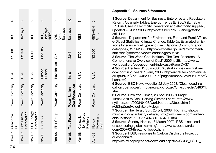| 4               | 5                           | 5                                | ≓                                | ග                                      | $\overline{a}$                                             | ო             | 5                             |
|-----------------|-----------------------------|----------------------------------|----------------------------------|----------------------------------------|------------------------------------------------------------|---------------|-------------------------------|
| <b>RBS</b>      | <b>Barclays</b>             | RBS                              | Barclays,<br><b>HSBC</b><br>RBS, | <b>Barclays</b><br>Amro,<br><b>ABN</b> | <b>Barclays</b>                                            | <b>RBS</b>    | RBS/ABN<br>Amro               |
| \$1,000         | \$2,750                     | \$600                            | \$22,285                         | \$845<br>\$750                         |                                                            | \$700         | \$2,500                       |
| USA             | USA                         | USA                              | Europe,<br>Russia                | Kazakhstan                             | India                                                      | USA           | USA                           |
| Power Company   | Power Company               | Power Company                    | Power Company                    | Power Company                          | Coal Production<br>Power Station,                          | Power Company | Power Company                 |
| Oklahoma<br>G&E | First Energy<br>Corporation | <b>OGE</b> Energy<br>Corporation | EON AG                           | EN+Group                               | <b>Tata Power</b><br>tion Energy<br>Constella-<br>Partners |               | Power and<br>Florida<br>Light |
| Nov-07          | Nov-07                      | Nov-07                           | Nov-07                           | Feb-08                                 | Mar-08                                                     | Mar-08        | Apr-08                        |

24

#### **Appendix 2 - Sources & footnotes**

**1 Source**: Department for Business, Enterprise and Regulatory Reform, Quarterly Tables: Energy Trends (ET) 08/79b, Table 5.1: Fuel Used in Electricity Generation and electricity supplied, updated 26 June 2008, http://stats.berr.gov.uk/energystats/ et5\_1.xls

**2 Source**: Department for Environment, Food and Rural Affairs, e-Digest Statistics: Climate Change, Table 5a: Estimated emis sions by source, fuel type end user, National Communication categories, 1970-2006, http://www.defra.gov.uk/environment/ statistics/globatmos/download/xls/gatb05.xls

**3 Source**: The World Coal Institute, 'The Coal Resource - A Comprehensive Overview of Coal', 2005, p 39, http://www. worldcoal.org/pages/content/index.asp?PageID=37

**4 Source**: Reuters, 15 July 2008, 'Australia considers first new coal port in 25 years' 15 July 2008 http://uk.reuters.com/article/ oilRpt/idUKSP29044620080715?pageNumber=2&virtualBrandC hannel=0

**5 Source**: BBC News website, 22 July 2008, 'Clean deadline call on coal power', http://news.bbc.co.uk/1/hi/sci/tech/7518311. stm

**6 Source**: New York Times, 23 April 2008, 'Europe Turns Back to Coal, Raising Climate Fears', http://www. nytimes.com/2008/04/23/world/europe/23coal.html?\_ r=2&hp&oref=slogin&oref=slogin

**7 Source**: The Herald Sun, 25 July 2008, 'Rio Tinto shows muscle in coal industry debate', http://www.news.com.au/heraldsun/story/0,21985,24078301-664,00.html

**8 Source**: Sunday Herald, 18 March 2007, 'RBS is accused of sponsoring global warming', http://www.robedwards. com/2007/03/threat\_to\_boyco.html

**9 Source**: HSBC response to Carbon Disclosure Project 3 questionnaire

http://www.cdproject.net/download.asp?file=CDP3\_HSBC\_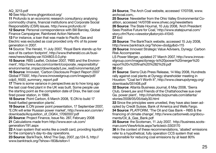AQ\_3213.pdf

**10** See http://www.ghgprotocol.org/

**11** Profundo is an economic research consultancy analysing commodity chains, financial institutions and Corporate Social Responsibility (CSR) issues. http://www.profundo.nl/

**12 Source**: Personal correspondence with Bill Barclay, Global Finance Campaigner, Rainforest Action Network

**13** For instance, a loan that was made to Pacific Gas and Electric was excluded as coal provided only 4% of its power generation in 2007.

**14** Source: The Herald, 11 July 2007, 'Royal Bank stands up for size of its carbon footprint', http://www.theherald.co.uk/business/news/display.var.1534803.0.0.php

**15 Source**: RBS Leaflet, October 2007, 'RBS and the Environment', http://www.rbs.com/content/corporate\_responsibility/ environmental\_impact/downloads/Low\_resEnvironmental.pdf **16 Source**: Innovest, 'Carbon Disclosure Project Report 2007 Global FT500', http://www.innovestgroup.com/images/pdf/ cdp5\_ft500\_summary\_report.pdf

**17** There is some variance in perspectives as to how long ago the last coal-fired plant in the UK was built. Some people use the starting point as the completion date of Drax, the last coal fired power station, in 1986.

**18 Source**: Point Carbon, 6 March 2008, 'E.ON to build 17 fossil-fuelled generation plants'.

**19 Source**: E.ON power point presentation, 17 September 2007, 'E.ON will enter Russian power market', http://www.eon.com/en/ downloads/Acquisition\_of\_OGK4\_17092007.pdf

**20 Source**: Project Finance, Issue No. 287, February 2008

**21** Calculations made from http://www.eon-uk.com/ generation/191.aspx

**22** A loan system that works like a credit card, providing liquidity for the company's day-to-day operations.

**23 Source**: BankTrack, Mind The Gap, 2007, pp.124-5, http:// www.banktrack.org/?show=183&visitor=1

**24 Source**, The Arch Coal website, accessed 17/07/08, www. archcoal.com,.

**25 Source**: Newsletter from the Ohio Valley Environmental Coalition, accessed 14/07/08 www.ohvec.org/newsletters

**26 Source**: The State Hournal, 10 July 2008, 'Arch President Sees Positive Future for Coal,' http://www.statejournal.com/ story.cfm?func=viewstory&storyid=41045

**27** ibid

**28 Source**: The BankTrack website, accessed 15 July 2008, http://www.banktrack.org/?show=dodgy&id=115

**29 Source**: Innovest Strategic Value Advisers, Dynegy: Carbon Risk Accompanies

LS Power Merger, updated 27 March 2007, http://www.innovestgroup.com/images/dynegy-ls%20power%20merger%20 report%20v%20final%20%282%29.pdf

**30** ibid

**31 Source**: Sierra Club Press Release, 14 May 2008, Hundreds rally against coal plants at Dynegy shareholder meeting in Houston: "Coal Isn't Worth It", http://www.cleanupdynegy.org/ downloads/051408.pdf

**32 Source**: Atlanta Business Journal, 6 May 2008, 'Sierra Club, GreenLaw and Friends of the Chattahoochee sue over Ga. power plant', http://charlotte.bizjournals.com/atlanta/ stories/2008/05/05/daily30.html

**33** Since the principles were unveiled, they have also been adopted by Credit Suisse, Bank of America and Wells Fargo.

**34 Source**: PLATFORM, 'The Oil and Gas Bank – RBS & the financing of climate change', http://www.carbonweb.org/documents/Oil\_&\_Gas\_Bank.pdf

**35 Source**: the Scotsman, 11 July 2007, http://business.scotsman.com/ViewArticle.aspx?articleid=3303170

**36** In the context of these recommendations, 'abated' emissions refer to a hypothetical, fully operation CCS system that was responsible for reducing coal emissions by at least 80%